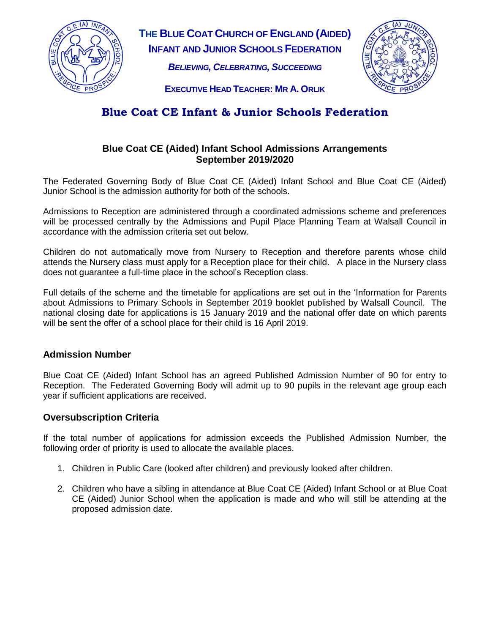

**THE BLUE COAT CHURCH OF ENGLAND (AIDED) INFANT AND JUNIOR SCHOOLS FEDERATION**

*BELIEVING, CELEBRATING, SUCCEEDING*



**EXECUTIVE HEAD TEACHER: MR A. ORLIK**

# **Blue Coat CE Infant & Junior Schools Federation**

# **Blue Coat CE (Aided) Infant School Admissions Arrangements September 2019/2020**

The Federated Governing Body of Blue Coat CE (Aided) Infant School and Blue Coat CE (Aided) Junior School is the admission authority for both of the schools.

Admissions to Reception are administered through a coordinated admissions scheme and preferences will be processed centrally by the Admissions and Pupil Place Planning Team at Walsall Council in accordance with the admission criteria set out below.

Children do not automatically move from Nursery to Reception and therefore parents whose child attends the Nursery class must apply for a Reception place for their child. A place in the Nursery class does not guarantee a full-time place in the school's Reception class.

Full details of the scheme and the timetable for applications are set out in the 'Information for Parents about Admissions to Primary Schools in September 2019 booklet published by Walsall Council. The national closing date for applications is 15 January 2019 and the national offer date on which parents will be sent the offer of a school place for their child is 16 April 2019.

## **Admission Number**

Blue Coat CE (Aided) Infant School has an agreed Published Admission Number of 90 for entry to Reception. The Federated Governing Body will admit up to 90 pupils in the relevant age group each year if sufficient applications are received.

## **Oversubscription Criteria**

If the total number of applications for admission exceeds the Published Admission Number, the following order of priority is used to allocate the available places.

- 1. Children in Public Care (looked after children) and previously looked after children.
- 2. Children who have a sibling in attendance at Blue Coat CE (Aided) Infant School or at Blue Coat CE (Aided) Junior School when the application is made and who will still be attending at the proposed admission date.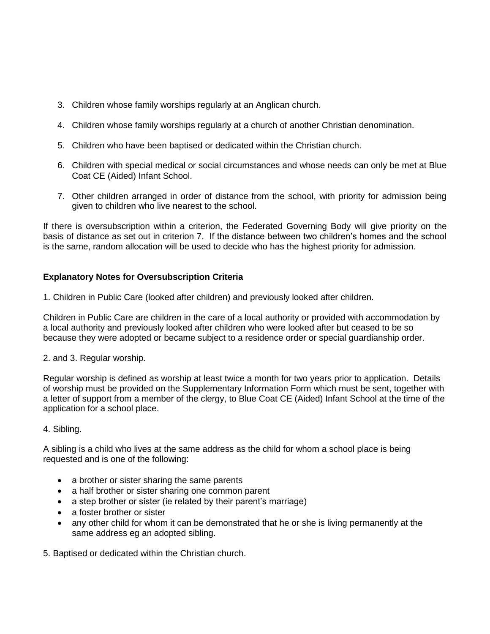- 3. Children whose family worships regularly at an Anglican church.
- 4. Children whose family worships regularly at a church of another Christian denomination.
- 5. Children who have been baptised or dedicated within the Christian church.
- 6. Children with special medical or social circumstances and whose needs can only be met at Blue Coat CE (Aided) Infant School.
- 7. Other children arranged in order of distance from the school, with priority for admission being given to children who live nearest to the school.

If there is oversubscription within a criterion, the Federated Governing Body will give priority on the basis of distance as set out in criterion 7. If the distance between two children's homes and the school is the same, random allocation will be used to decide who has the highest priority for admission.

## **Explanatory Notes for Oversubscription Criteria**

1. Children in Public Care (looked after children) and previously looked after children.

Children in Public Care are children in the care of a local authority or provided with accommodation by a local authority and previously looked after children who were looked after but ceased to be so because they were adopted or became subject to a residence order or special guardianship order.

2. and 3. Regular worship.

Regular worship is defined as worship at least twice a month for two years prior to application. Details of worship must be provided on the Supplementary Information Form which must be sent, together with a letter of support from a member of the clergy, to Blue Coat CE (Aided) Infant School at the time of the application for a school place.

#### 4. Sibling.

A sibling is a child who lives at the same address as the child for whom a school place is being requested and is one of the following:

- a brother or sister sharing the same parents
- a half brother or sister sharing one common parent
- a step brother or sister (ie related by their parent's marriage)
- a foster brother or sister
- any other child for whom it can be demonstrated that he or she is living permanently at the same address eg an adopted sibling.

5. Baptised or dedicated within the Christian church.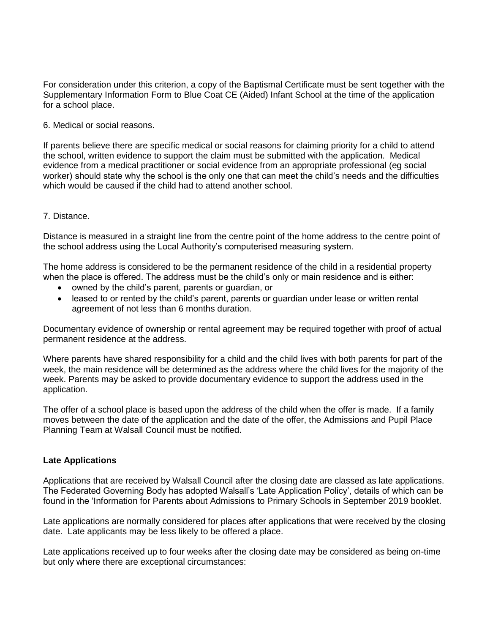For consideration under this criterion, a copy of the Baptismal Certificate must be sent together with the Supplementary Information Form to Blue Coat CE (Aided) Infant School at the time of the application for a school place.

6. Medical or social reasons.

If parents believe there are specific medical or social reasons for claiming priority for a child to attend the school, written evidence to support the claim must be submitted with the application. Medical evidence from a medical practitioner or social evidence from an appropriate professional (eg social worker) should state why the school is the only one that can meet the child's needs and the difficulties which would be caused if the child had to attend another school.

#### 7. Distance.

Distance is measured in a straight line from the centre point of the home address to the centre point of the school address using the Local Authority's computerised measuring system.

The home address is considered to be the permanent residence of the child in a residential property when the place is offered. The address must be the child's only or main residence and is either:

- owned by the child's parent, parents or guardian, or
- leased to or rented by the child's parent, parents or guardian under lease or written rental agreement of not less than 6 months duration.

Documentary evidence of ownership or rental agreement may be required together with proof of actual permanent residence at the address.

Where parents have shared responsibility for a child and the child lives with both parents for part of the week, the main residence will be determined as the address where the child lives for the majority of the week. Parents may be asked to provide documentary evidence to support the address used in the application.

The offer of a school place is based upon the address of the child when the offer is made. If a family moves between the date of the application and the date of the offer, the Admissions and Pupil Place Planning Team at Walsall Council must be notified.

#### **Late Applications**

Applications that are received by Walsall Council after the closing date are classed as late applications. The Federated Governing Body has adopted Walsall's 'Late Application Policy', details of which can be found in the 'Information for Parents about Admissions to Primary Schools in September 2019 booklet.

Late applications are normally considered for places after applications that were received by the closing date. Late applicants may be less likely to be offered a place.

Late applications received up to four weeks after the closing date may be considered as being on-time but only where there are exceptional circumstances: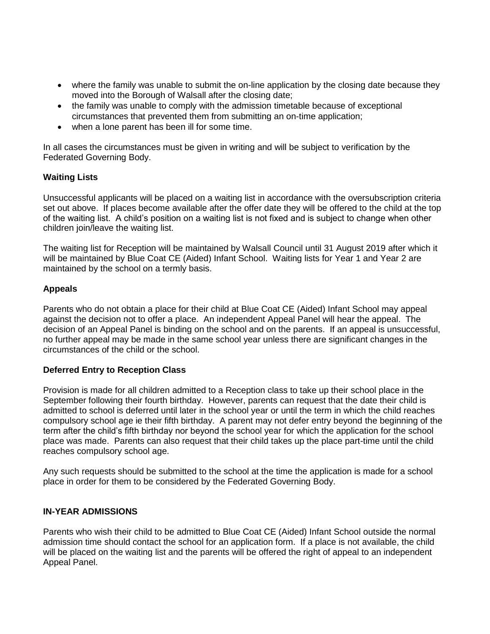- where the family was unable to submit the on-line application by the closing date because they moved into the Borough of Walsall after the closing date;
- the family was unable to comply with the admission timetable because of exceptional circumstances that prevented them from submitting an on-time application;
- when a lone parent has been ill for some time.

In all cases the circumstances must be given in writing and will be subject to verification by the Federated Governing Body.

#### **Waiting Lists**

Unsuccessful applicants will be placed on a waiting list in accordance with the oversubscription criteria set out above. If places become available after the offer date they will be offered to the child at the top of the waiting list. A child's position on a waiting list is not fixed and is subject to change when other children join/leave the waiting list.

The waiting list for Reception will be maintained by Walsall Council until 31 August 2019 after which it will be maintained by Blue Coat CE (Aided) Infant School. Waiting lists for Year 1 and Year 2 are maintained by the school on a termly basis.

## **Appeals**

Parents who do not obtain a place for their child at Blue Coat CE (Aided) Infant School may appeal against the decision not to offer a place. An independent Appeal Panel will hear the appeal. The decision of an Appeal Panel is binding on the school and on the parents. If an appeal is unsuccessful, no further appeal may be made in the same school year unless there are significant changes in the circumstances of the child or the school.

#### **Deferred Entry to Reception Class**

Provision is made for all children admitted to a Reception class to take up their school place in the September following their fourth birthday. However, parents can request that the date their child is admitted to school is deferred until later in the school year or until the term in which the child reaches compulsory school age ie their fifth birthday. A parent may not defer entry beyond the beginning of the term after the child's fifth birthday nor beyond the school year for which the application for the school place was made. Parents can also request that their child takes up the place part-time until the child reaches compulsory school age.

Any such requests should be submitted to the school at the time the application is made for a school place in order for them to be considered by the Federated Governing Body.

#### **IN-YEAR ADMISSIONS**

Parents who wish their child to be admitted to Blue Coat CE (Aided) Infant School outside the normal admission time should contact the school for an application form. If a place is not available, the child will be placed on the waiting list and the parents will be offered the right of appeal to an independent Appeal Panel.